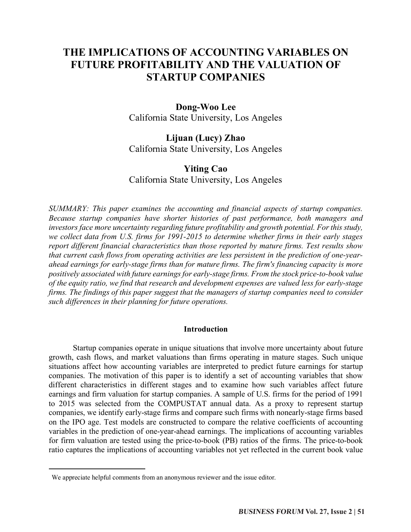# **THE IMPLICATIONS OF ACCOUNTING VARIABLES ON FUTURE PROFITABILITY AND THE VALUATION OF STARTUP COMPANIES**

# **Dong-Woo Lee** California State University, Los Angeles

# **Lijuan (Lucy) Zhao**

California State University, Los Angeles

# **Yiting Cao** California State University, Los Angeles

*SUMMARY: This paper examines the accounting and financial aspects of startup companies. Because startup companies have shorter histories of past performance, both managers and investors face more uncertainty regarding future profitability and growth potential. For this study, we collect data from U.S. firms for 1991-2015 to determine whether firms in their early stages report different financial characteristics than those reported by mature firms. Test results show that current cash flows from operating activities are less persistent in the prediction of one-yearahead earnings for early-stage firms than for mature firms. The firm's financing capacity is more positively associated with future earnings for early-stage firms. From the stock price-to-book value of the equity ratio, we find that research and development expenses are valued less for early-stage firms. The findings of this paper suggest that the managers of startup companies need to consider such differences in their planning for future operations.*

# **Introduction**

Startup companies operate in unique situations that involve more uncertainty about future growth, cash flows, and market valuations than firms operating in mature stages. Such unique situations affect how accounting variables are interpreted to predict future earnings for startup companies. The motivation of this paper is to identify a set of accounting variables that show different characteristics in different stages and to examine how such variables affect future earnings and firm valuation for startup companies. A sample of U.S. firms for the period of 1991 to 2015 was selected from the COMPUSTAT annual data. As a proxy to represent startup companies, we identify early-stage firms and compare such firms with nonearly-stage firms based on the IPO age. Test models are constructed to compare the relative coefficients of accounting variables in the prediction of one-year-ahead earnings. The implications of accounting variables for firm valuation are tested using the price-to-book (PB) ratios of the firms. The price-to-book ratio captures the implications of accounting variables not yet reflected in the current book value

 $\overline{a}$ 

We appreciate helpful comments from an anonymous reviewer and the issue editor.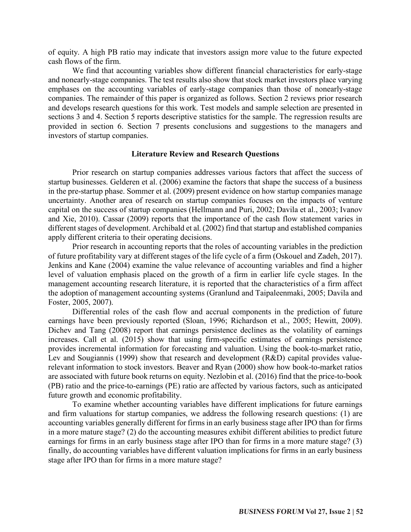of equity. A high PB ratio may indicate that investors assign more value to the future expected cash flows of the firm.

We find that accounting variables show different financial characteristics for early-stage and nonearly-stage companies. The test results also show that stock market investors place varying emphases on the accounting variables of early-stage companies than those of nonearly-stage companies. The remainder of this paper is organized as follows. Section 2 reviews prior research and develops research questions for this work. Test models and sample selection are presented in sections 3 and 4. Section 5 reports descriptive statistics for the sample. The regression results are provided in section 6. Section 7 presents conclusions and suggestions to the managers and investors of startup companies.

## **Literature Review and Research Questions**

Prior research on startup companies addresses various factors that affect the success of startup businesses. Gelderen et al. (2006) examine the factors that shape the success of a business in the pre-startup phase. Sommer et al. (2009) present evidence on how startup companies manage uncertainty. Another area of research on startup companies focuses on the impacts of venture capital on the success of startup companies (Hellmann and Puri, 2002; Davila et al., 2003; Ivanov and Xie, 2010). Cassar (2009) reports that the importance of the cash flow statement varies in different stages of development. Archibald et al. (2002) find that startup and established companies apply different criteria to their operating decisions.

Prior research in accounting reports that the roles of accounting variables in the prediction of future profitability vary at different stages of the life cycle of a firm (Oskouel and Zadeh, 2017). Jenkins and Kane (2004) examine the value relevance of accounting variables and find a higher level of valuation emphasis placed on the growth of a firm in earlier life cycle stages. In the management accounting research literature, it is reported that the characteristics of a firm affect the adoption of management accounting systems (Granlund and Taipaleenmaki, 2005; Davila and Foster, 2005, 2007).

Differential roles of the cash flow and accrual components in the prediction of future earnings have been previously reported (Sloan, 1996; Richardson et al., 2005; Hewitt, 2009). Dichev and Tang (2008) report that earnings persistence declines as the volatility of earnings increases. Call et al. (2015) show that using firm-specific estimates of earnings persistence provides incremental information for forecasting and valuation. Using the book-to-market ratio, Lev and Sougiannis (1999) show that research and development (R&D) capital provides valuerelevant information to stock investors. Beaver and Ryan (2000) show how book-to-market ratios are associated with future book returns on equity. Nezlobin et al. (2016) find that the price-to-book (PB) ratio and the price-to-earnings (PE) ratio are affected by various factors, such as anticipated future growth and economic profitability.

To examine whether accounting variables have different implications for future earnings and firm valuations for startup companies, we address the following research questions: (1) are accounting variables generally different for firms in an early business stage after IPO than for firms in a more mature stage? (2) do the accounting measures exhibit different abilities to predict future earnings for firms in an early business stage after IPO than for firms in a more mature stage? (3) finally, do accounting variables have different valuation implications for firms in an early business stage after IPO than for firms in a more mature stage?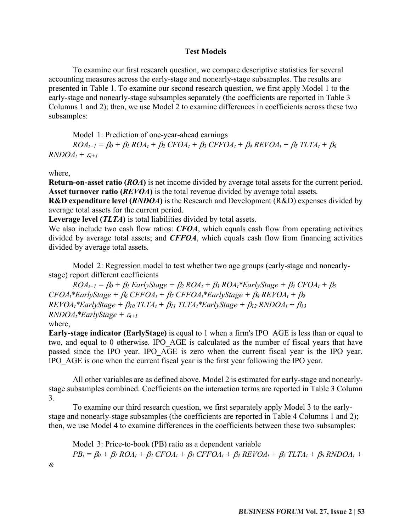# **Test Models**

To examine our first research question, we compare descriptive statistics for several accounting measures across the early-stage and nonearly-stage subsamples. The results are presented in Table 1. To examine our second research question, we first apply Model 1 to the early-stage and nonearly-stage subsamples separately (the coefficients are reported in Table 3 Columns 1 and 2); then, we use Model 2 to examine differences in coefficients across these two subsamples:

Model 1: Prediction of one-year-ahead earnings

 $ROA_{t+1} = B_0 + B_1 ROA_t + B_2$   $CFOA_t + B_3$   $CFFOA_t + B_4 REVOA_t + B_5 TLTA_t + B_6$  $RNDOA_t + \varepsilon_{t+1}$ 

where,

 $\mathcal{E}_t$ 

**Return-on-asset ratio (***ROA***)** is net income divided by average total assets for the current period. **Asset turnover ratio (***REVOA***)** is the total revenue divided by average total assets.

**R&D expenditure level (***RNDOA***)** is the Research and Development (R&D) expenses divided by average total assets for the current period.

**Leverage level (***TLTA***)** is total liabilities divided by total assets.

We also include two cash flow ratios: *CFOA*, which equals cash flow from operating activities divided by average total assets; and *CFFOA*, which equals cash flow from financing activities divided by average total assets.

Model 2: Regression model to test whether two age groups (early-stage and nonearlystage) report different coefficients

 $ROA_{t+1} = \beta_0 + \beta_1$  *EarlyStage* +  $\beta_2$  *ROA<sub>t</sub>* +  $\beta_3$  *ROA<sub>t</sub>*\**EarlyStage* +  $\beta_4$  *CFOA<sub>t</sub>* +  $\beta_5$  $CFOA_t*EarlyStage + \beta_6 CFFOA_t + \beta_7 CFFOA_t*EarlyStage + \beta_8 REVOA_t + \beta_9$  $REVOA<sub>t</sub>*EarlyStage + \beta_{10} TLTA<sub>t</sub> + \beta_{11} TLTA<sub>t</sub>*EarlyStage + \beta_{12} RNDOA<sub>t</sub> + \beta_{13}$  $RNDOA<sub>t</sub>*EarlyStage + \varepsilon_{t+1}$ where,

**Early-stage indicator (EarlyStage)** is equal to 1 when a firm's IPO\_AGE is less than or equal to two, and equal to 0 otherwise. IPO\_AGE is calculated as the number of fiscal years that have passed since the IPO year. IPO\_AGE is zero when the current fiscal year is the IPO year. IPO\_AGE is one when the current fiscal year is the first year following the IPO year.

All other variables are as defined above. Model 2 is estimated for early-stage and nonearlystage subsamples combined. Coefficients on the interaction terms are reported in Table 3 Column 3.

To examine our third research question, we first separately apply Model 3 to the earlystage and nonearly-stage subsamples (the coefficients are reported in Table 4 Columns 1 and 2); then, we use Model 4 to examine differences in the coefficients between these two subsamples:

Model 3: Price-to-book (PB) ratio as a dependent variable  $PB_t = \beta_0 + \beta_1 ROA_t + \beta_2 CFOA_t + \beta_3 CFFOA_t + \beta_4 REVOA_t + \beta_5 TLTA_t + \beta_6 RNDOA_t +$ 

**BUSINESS FORUM Vol. 27, Issue 2 | 53**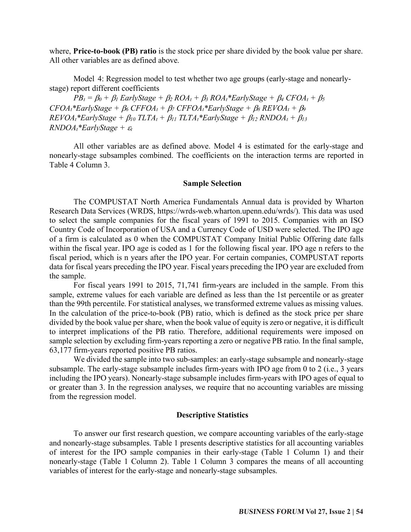where, **Price-to-book (PB) ratio** is the stock price per share divided by the book value per share. All other variables are as defined above.

Model 4: Regression model to test whether two age groups (early-stage and nonearlystage) report different coefficients

 $PB_t = \beta_0 + \beta_1$  *EarlyStage +*  $\beta_2$  *ROA<sub>t</sub> +*  $\beta_3$  *ROA<sub>t</sub> \* <i>EarlyStage +*  $\beta_4$  *CFOA<sub>t</sub> +*  $\beta_5$  $CFOA<sub>t</sub>$ <sup>\*</sup>EarlyStage +  $\beta_6$   $CFFOA<sub>t</sub>$  +  $\beta_7$   $CFFOA<sub>t</sub>$ <sup>\*</sup>EarlyStage +  $\beta_8$   $REVOA<sub>t</sub>$  +  $\beta_9$  $REVOA<sub>t</sub> * EarlyStage + \beta_{10} TLTA<sub>t</sub> + \beta_{11} TLTA<sub>t</sub> * EarlyStage + \beta_{12} RNDOA<sub>t</sub> + \beta_{13}$  $RNDOA<sub>t</sub>*EarlyStage +  $\varepsilon_t$$ 

All other variables are as defined above. Model 4 is estimated for the early-stage and nonearly-stage subsamples combined. The coefficients on the interaction terms are reported in Table 4 Column 3.

#### **Sample Selection**

The COMPUSTAT North America Fundamentals Annual data is provided by Wharton Research Data Services (WRDS, https://wrds-web.wharton.upenn.edu/wrds/). This data was used to select the sample companies for the fiscal years of 1991 to 2015. Companies with an ISO Country Code of Incorporation of USA and a Currency Code of USD were selected. The IPO age of a firm is calculated as 0 when the COMPUSTAT Company Initial Public Offering date falls within the fiscal year. IPO age is coded as 1 for the following fiscal year. IPO age n refers to the fiscal period, which is n years after the IPO year. For certain companies, COMPUSTAT reports data for fiscal years preceding the IPO year. Fiscal years preceding the IPO year are excluded from the sample.

For fiscal years 1991 to 2015, 71,741 firm-years are included in the sample. From this sample, extreme values for each variable are defined as less than the 1st percentile or as greater than the 99th percentile. For statistical analyses, we transformed extreme values as missing values. In the calculation of the price-to-book (PB) ratio, which is defined as the stock price per share divided by the book value per share, when the book value of equity is zero or negative, it is difficult to interpret implications of the PB ratio. Therefore, additional requirements were imposed on sample selection by excluding firm-years reporting a zero or negative PB ratio. In the final sample, 63,177 firm-years reported positive PB ratios.

We divided the sample into two sub-samples: an early-stage subsample and nonearly-stage subsample. The early-stage subsample includes firm-years with IPO age from 0 to 2 (i.e., 3 years including the IPO years). Nonearly-stage subsample includes firm-years with IPO ages of equal to or greater than 3. In the regression analyses, we require that no accounting variables are missing from the regression model.

#### **Descriptive Statistics**

To answer our first research question, we compare accounting variables of the early-stage and nonearly-stage subsamples. Table 1 presents descriptive statistics for all accounting variables of interest for the IPO sample companies in their early-stage (Table 1 Column 1) and their nonearly-stage (Table 1 Column 2). Table 1 Column 3 compares the means of all accounting variables of interest for the early-stage and nonearly-stage subsamples.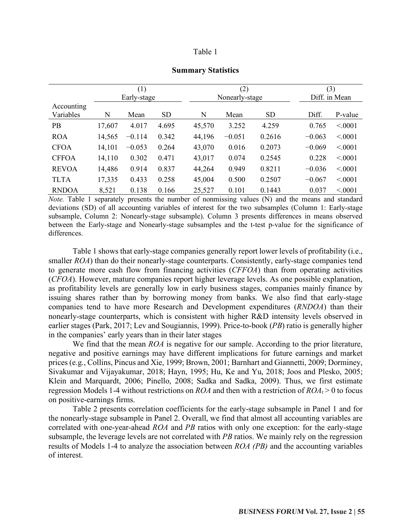| anı |  |
|-----|--|
|-----|--|

|              | (1)    |             |           |        | (2)            |           |          | (3)           |  |
|--------------|--------|-------------|-----------|--------|----------------|-----------|----------|---------------|--|
|              |        | Early-stage |           |        | Nonearly-stage |           |          | Diff. in Mean |  |
| Accounting   |        |             |           |        |                |           |          |               |  |
| Variables    | N      | Mean        | <b>SD</b> | N      | Mean           | <b>SD</b> | Diff.    | P-value       |  |
| PB           | 17,607 | 4.017       | 4.695     | 45,570 | 3.252          | 4.259     | 0.765    | < 0001        |  |
| <b>ROA</b>   | 14,565 | $-0.114$    | 0.342     | 44,196 | $-0.051$       | 0.2616    | $-0.063$ | < 0001        |  |
| <b>CFOA</b>  | 14,101 | $-0.053$    | 0.264     | 43,070 | 0.016          | 0.2073    | $-0.069$ | < 0001        |  |
| <b>CFFOA</b> | 14,110 | 0.302       | 0.471     | 43,017 | 0.074          | 0.2545    | 0.228    | < 0001        |  |
| <b>REVOA</b> | 14,486 | 0.914       | 0.837     | 44,264 | 0.949          | 0.8211    | $-0.036$ | < 0001        |  |
| <b>TLTA</b>  | 17,335 | 0.433       | 0.258     | 45,004 | 0.500          | 0.2507    | $-0.067$ | < 0.001       |  |
| <b>RNDOA</b> | 8,521  | 0.138       | 0.166     | 25,527 | 0.101          | 0.1443    | 0.037    | < 0001        |  |

#### **Summary Statistics**

*Note.* Table 1 separately presents the number of nonmissing values (N) and the means and standard deviations (SD) of all accounting variables of interest for the two subsamples (Column 1: Early-stage subsample, Column 2: Nonearly-stage subsample). Column 3 presents differences in means observed between the Early-stage and Nonearly-stage subsamples and the t-test p-value for the significance of differences.

Table 1 shows that early-stage companies generally report lower levels of profitability (i.e., smaller *ROA*) than do their nonearly-stage counterparts. Consistently, early-stage companies tend to generate more cash flow from financing activities (*CFFOA*) than from operating activities (*CFOA*). However, mature companies report higher leverage levels. As one possible explanation, as profitability levels are generally low in early business stages, companies mainly finance by issuing shares rather than by borrowing money from banks. We also find that early-stage companies tend to have more Research and Development expenditures (*RNDOA*) than their nonearly-stage counterparts, which is consistent with higher R&D intensity levels observed in earlier stages (Park, 2017; Lev and Sougiannis, 1999). Price-to-book (*PB*) ratio is generally higher in the companies' early years than in their later stages

We find that the mean *ROA* is negative for our sample. According to the prior literature, negative and positive earnings may have different implications for future earnings and market prices (e.g., Collins, Pincus and Xie, 1999; Brown, 2001; Barnhart and Giannetti, 2009; Dorminey, Sivakumar and Vijayakumar, 2018; Hayn, 1995; Hu, Ke and Yu, 2018; Joos and Plesko, 2005; Klein and Marquardt, 2006; Pinello, 2008; Sadka and Sadka, 2009). Thus, we first estimate regression Models 1-4 without restrictions on *ROA* and then with a restriction of  $ROA<sub>t</sub> > 0$  to focus on positive-earnings firms.

Table 2 presents correlation coefficients for the early-stage subsample in Panel 1 and for the nonearly-stage subsample in Panel 2. Overall, we find that almost all accounting variables are correlated with one-year-ahead *ROA* and *PB* ratios with only one exception: for the early-stage subsample, the leverage levels are not correlated with *PB* ratios. We mainly rely on the regression results of Models 1-4 to analyze the association between *ROA (PB)* and the accounting variables of interest.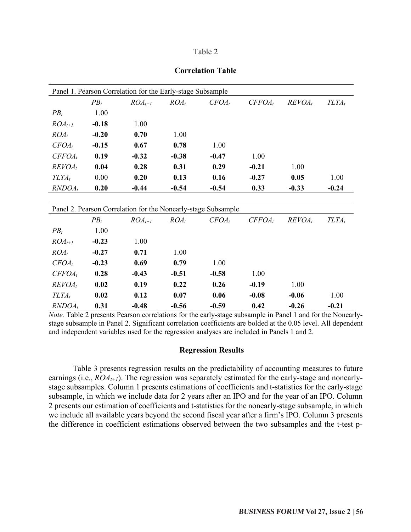| n |  |
|---|--|
|   |  |

| Panel 1. Pearson Correlation for the Early-stage Subsample |         |                                                               |         |          |           |           |          |  |  |
|------------------------------------------------------------|---------|---------------------------------------------------------------|---------|----------|-----------|-----------|----------|--|--|
|                                                            | $PB_t$  | $ROA_{t+1}$                                                   | $ROA_t$ | $CFOA_t$ | $CFFOA_t$ | $REVOA_t$ | $TLTA_t$ |  |  |
| $PB_t$                                                     | 1.00    |                                                               |         |          |           |           |          |  |  |
| $ROA_{t+1}$                                                | $-0.18$ | 1.00                                                          |         |          |           |           |          |  |  |
| $ROA_t$                                                    | $-0.20$ | 0.70                                                          | 1.00    |          |           |           |          |  |  |
| $CFOA_t$                                                   | $-0.15$ | 0.67                                                          | 0.78    | 1.00     |           |           |          |  |  |
| $CFFOA_t$                                                  | 0.19    | $-0.32$                                                       | $-0.38$ | $-0.47$  | 1.00      |           |          |  |  |
| $REVOA_t$                                                  | 0.04    | 0.28                                                          | 0.31    | 0.29     | $-0.21$   | 1.00      |          |  |  |
| $TLTA_t$                                                   | 0.00    | 0.20                                                          | 0.13    | 0.16     | $-0.27$   | 0.05      | 1.00     |  |  |
| $RNDOA_t$                                                  | 0.20    | $-0.44$                                                       | $-0.54$ | $-0.54$  | 0.33      | $-0.33$   | $-0.24$  |  |  |
|                                                            |         |                                                               |         |          |           |           |          |  |  |
|                                                            |         | Panel 2. Pearson Correlation for the Nonearly-stage Subsample |         |          |           |           |          |  |  |
|                                                            | $PB_t$  | $ROA_{t+1}$                                                   | $ROA_t$ | $CFOA_t$ | $CFFOA_t$ | $REVOA_t$ | $TLTA_t$ |  |  |
| $PB_t$                                                     | 1.00    |                                                               |         |          |           |           |          |  |  |
| $ROA_{t+1}$                                                | $-0.23$ | 1.00                                                          |         |          |           |           |          |  |  |
| $ROA_t$                                                    | $-0.27$ | 0.71                                                          | 1.00    |          |           |           |          |  |  |
| $CFOA_t$                                                   | $-0.23$ | 0.69                                                          | 0.79    | 1.00     |           |           |          |  |  |
| $CFFOA_t$                                                  | 0.28    | $-0.43$                                                       | $-0.51$ | $-0.58$  | 1.00      |           |          |  |  |
| $REVOA_t$                                                  | 0.02    | 0.19                                                          | 0.22    | 0.26     | $-0.19$   | 1.00      |          |  |  |
| $TLTA_t$                                                   | 0.02    | 0.12                                                          | 0.07    | 0.06     | $-0.08$   | $-0.06$   | 1.00     |  |  |
| $RNDOA_t$                                                  | 0.31    | $-0.48$                                                       | $-0.56$ | $-0.59$  | 0.42      | $-0.26$   | $-0.21$  |  |  |

**Correlation Table**

*Note.* Table 2 presents Pearson correlations for the early-stage subsample in Panel 1 and for the Nonearlystage subsample in Panel 2. Significant correlation coefficients are bolded at the 0.05 level. All dependent and independent variables used for the regression analyses are included in Panels 1 and 2.

#### **Regression Results**

Table 3 presents regression results on the predictability of accounting measures to future earnings (i.e.,  $ROA_{t+1}$ ). The regression was separately estimated for the early-stage and nonearlystage subsamples. Column 1 presents estimations of coefficients and t-statistics for the early-stage subsample, in which we include data for 2 years after an IPO and for the year of an IPO. Column 2 presents our estimation of coefficients and t-statistics for the nonearly-stage subsample, in which we include all available years beyond the second fiscal year after a firm's IPO. Column 3 presents the difference in coefficient estimations observed between the two subsamples and the t-test p-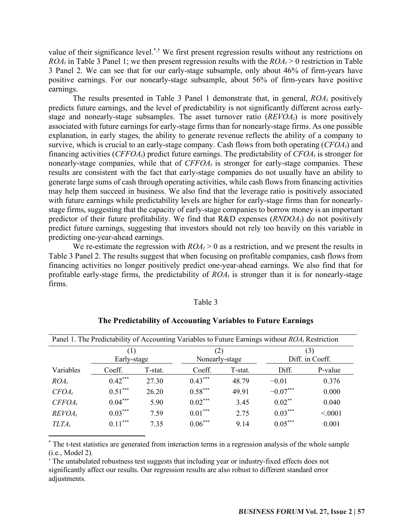value of their significance level.<sup>\*,†</sup> We first present regression results without any restrictions on *ROA<sub>t</sub>* in Table 3 Panel 1; we then present regression results with the  $ROA<sub>t</sub> > 0$  restriction in Table 3 Panel 2. We can see that for our early-stage subsample, only about 46% of firm-years have positive earnings. For our nonearly-stage subsample, about 56% of firm-years have positive earnings.

The results presented in Table 3 Panel 1 demonstrate that, in general, *ROA<sub>t</sub>* positively predicts future earnings, and the level of predictability is not significantly different across earlystage and nonearly-stage subsamples. The asset turnover ratio  $(REVOA<sub>t</sub>)$  is more positively associated with future earnings for early-stage firms than for nonearly-stage firms. As one possible explanation, in early stages, the ability to generate revenue reflects the ability of a company to survive, which is crucial to an early-stage company. Cash flows from both operating (*CFOAt*) and financing activities (*CFFOAt*) predict future earnings. The predictability of *CFOAt* is stronger for nonearly-stage companies, while that of *CFFOA<sub>t</sub>* is stronger for early-stage companies. These results are consistent with the fact that early-stage companies do not usually have an ability to generate large sums of cash through operating activities, while cash flowsfrom financing activities may help them succeed in business. We also find that the leverage ratio is positively associated with future earnings while predictability levels are higher for early-stage firms than for nonearlystage firms, suggesting that the capacity of early-stage companies to borrow money is an important predictor of their future profitability. We find that  $R&D$  expenses  $(RNDOA<sub>t</sub>)$  do not positively predict future earnings, suggesting that investors should not rely too heavily on this variable in predicting one-year-ahead earnings.

We re-estimate the regression with  $ROA_t > 0$  as a restriction, and we present the results in Table 3 Panel 2. The results suggest that when focusing on profitable companies, cash flows from financing activities no longer positively predict one-year-ahead earnings. We also find that for profitable early-stage firms, the predictability of  $ROA<sub>t</sub>$  is stronger than it is for nonearly-stage firms.

#### Table 3

| Panel 1. The Predictability of Accounting Variables to Future Earnings without <i>ROA</i> , Restriction |                    |         |                       |         |                                     |         |  |  |
|---------------------------------------------------------------------------------------------------------|--------------------|---------|-----------------------|---------|-------------------------------------|---------|--|--|
|                                                                                                         | (1)<br>Early-stage |         | (2)<br>Nonearly-stage |         | $\left(3\right)$<br>Diff. in Coeff. |         |  |  |
| Variables                                                                                               | Coeff.             | T-stat. | Coeff.                | T-stat. | Diff.                               | P-value |  |  |
| $ROA_t$                                                                                                 | $0.42***$          | 27.30   | $0.43***$             | 48.79   | $-0.01$                             | 0.376   |  |  |
| $CFOA_t$                                                                                                | $0.51***$          | 26.20   | $0.58***$             | 49 91   | $-0.07***$                          | 0.000   |  |  |
| $CFFOA_t$                                                                                               | $0.04***$          | 5.90    | $0.02***$             | 3.45    | $0.02***$                           | 0.040   |  |  |
| $REVOA_t$                                                                                               | $0.03***$          | 7.59    | $0.01***$             | 2.75    | $0.03***$                           | < 0001  |  |  |
| $TLTA_t$                                                                                                | $0.11***$          | 7.35    | $0.06***$             | 9.14    | $0.05***$                           | 0.001   |  |  |

## **The Predictability of Accounting Variables to Future Earnings**

\* The t-test statistics are generated from interaction terms in a regression analysis of the whole sample (i.e., Model 2).

† The untabulated robustness test suggests that including year or industry-fixed effects does not significantly affect our results. Our regression results are also robust to different standard error adjustments.

 $\overline{a}$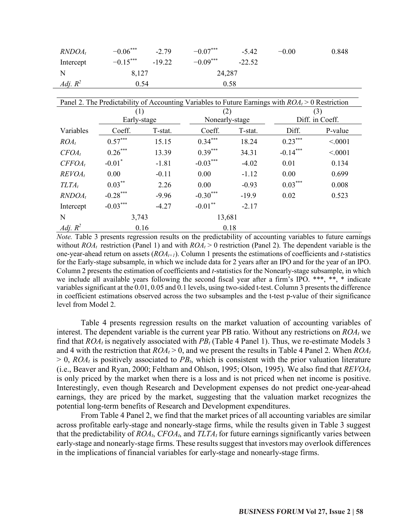| $RNDOA_t$  | $-0.06***$ | $-2.79$  | $-0.07***$ | $-5.42$  | $-0.00$ | 0.848 |
|------------|------------|----------|------------|----------|---------|-------|
| Intercept  | $-0.15***$ | $-19.22$ | $-0.09***$ | $-22.52$ |         |       |
| N          | 8,127      |          | 24,287     |          |         |       |
| Adj. $R^2$ | 0.54       |          |            | 0.58     |         |       |

| Panel 2. The Predictability of Accounting Variables to Future Earnings with $ROA_t > 0$ Restriction |             |         |                |         |                 |         |  |  |
|-----------------------------------------------------------------------------------------------------|-------------|---------|----------------|---------|-----------------|---------|--|--|
|                                                                                                     | (1)         |         | (2)            |         | (3)             |         |  |  |
|                                                                                                     | Early-stage |         | Nonearly-stage |         | Diff. in Coeff. |         |  |  |
| Variables                                                                                           | Coeff.      | T-stat. | Coeff.         | T-stat. | Diff.           | P-value |  |  |
| $ROA_t$                                                                                             | $0.57***$   | 15.15   | $0.34***$      | 18.24   | $0.23***$       | < 0001  |  |  |
| $CFOA_t$                                                                                            | $0.26***$   | 13.39   | $0.39***$      | 34.31   | $-0.14***$      | < 0001  |  |  |
| $CFFOA_t$                                                                                           | $-0.01*$    | $-1.81$ | $-0.03***$     | $-4.02$ | 0.01            | 0.134   |  |  |
| $REVOA_t$                                                                                           | 0.00        | $-0.11$ | 0.00           | $-1.12$ | 0.00            | 0.699   |  |  |
| $TLTA_t$                                                                                            | $0.03***$   | 2.26    | 0.00           | $-0.93$ | $0.03***$       | 0.008   |  |  |
| $RNDOA_t$                                                                                           | $-0.28***$  | $-9.96$ | $-0.30***$     | $-19.9$ | 0.02            | 0.523   |  |  |
| Intercept                                                                                           | $-0.03***$  | $-4.27$ | $-0.01***$     | $-2.17$ |                 |         |  |  |
| N                                                                                                   | 3,743       |         |                | 13,681  |                 |         |  |  |
| Adj. $R^2$                                                                                          | 0.16        |         |                | 0.18    |                 |         |  |  |

*Note.* Table 3 presents regression results on the predictability of accounting variables to future earnings without *ROA<sub>t</sub>* restriction (Panel 1) and with  $ROA_t > 0$  restriction (Panel 2). The dependent variable is the one-year-ahead return on assets (*ROAt+1*). Column 1 presents the estimations of coefficients and *t*-statistics for the Early-stage subsample, in which we include data for 2 years after an IPO and for the year of an IPO. Column 2 presents the estimation of coefficients and *t*-statistics for the Nonearly-stage subsample, in which we include all available years following the second fiscal year after a firm's IPO. \*\*\*, \*\*, \* indicate variables significant at the 0.01, 0.05 and 0.1 levels, using two-sided t-test. Column 3 presents the difference in coefficient estimations observed across the two subsamples and the t-test p-value of their significance level from Model 2.

Table 4 presents regression results on the market valuation of accounting variables of interest. The dependent variable is the current year PB ratio. Without any restrictions on *ROAt* we find that  $ROA_t$  is negatively associated with  $PB_t$  (Table 4 Panel 1). Thus, we re-estimate Models 3 and 4 with the restriction that  $ROA_t > 0$ , and we present the results in Table 4 Panel 2. When  $ROA_t$  $> 0$ , *ROA<sub>t</sub>* is positively associated to *PB<sub>t</sub>*, which is consistent with the prior valuation literature (i.e., Beaver and Ryan, 2000; Feltham and Ohlson, 1995; Olson, 1995). We also find that *REVOAt* is only priced by the market when there is a loss and is not priced when net income is positive. Interestingly, even though Research and Development expenses do not predict one-year-ahead earnings, they are priced by the market, suggesting that the valuation market recognizes the potential long-term benefits of Research and Development expenditures.

From Table 4 Panel 2, we find that the market prices of all accounting variables are similar across profitable early-stage and nonearly-stage firms, while the results given in Table 3 suggest that the predictability of  $ROA_t$ ,  $CFOA_t$ , and  $TLTA_t$  for future earnings significantly varies between early-stage and nonearly-stage firms. These results suggest that investors may overlook differences in the implications of financial variables for early-stage and nonearly-stage firms.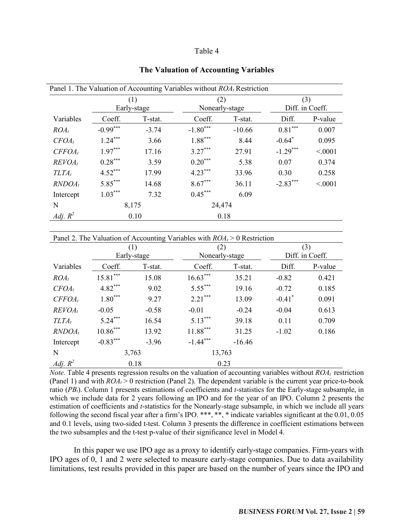#### Table 4

|            |            |             | Panel 1. The Valuation of Accounting Variables without $ROA_t$ Restriction |          |                      |                 |  |
|------------|------------|-------------|----------------------------------------------------------------------------|----------|----------------------|-----------------|--|
|            |            | (1)         | (2)                                                                        |          | (3)                  |                 |  |
|            |            | Early-stage | Nonearly-stage                                                             |          |                      | Diff. in Coeff. |  |
| Variables  | Coeff.     | T-stat.     | Coeff.                                                                     | T-stat.  | Diff.                | P-value         |  |
| $ROA_t$    | $-0.99***$ | $-3.74$     | $-1.80***$                                                                 | $-10.66$ | $0.81***$            | 0.007           |  |
| $CFOA_t$   | $1.24***$  | 3.66        | $1.88***$                                                                  | 8.44     | $-0.64$ <sup>*</sup> | 0.095           |  |
| $CFFOA_t$  | $1.97***$  | 17.16       | $3.27***$                                                                  | 27.91    | $-1.29***$           | < 0001          |  |
| $REVOA_t$  | $0.28***$  | 3.59        | $0.20***$                                                                  | 5.38     | 0.07                 | 0.374           |  |
| $TLTA_t$   | $4.52***$  | 17.99       | $4.23***$                                                                  | 33.96    | 0.30                 | 0.258           |  |
| $RNDOA_t$  | $5.85***$  | 14.68       | $8.67***$                                                                  | 36.11    | $-2.83***$           | < 0001          |  |
| Intercept  | $1.03***$  | 7.32        | $0.45***$                                                                  | 6.09     |                      |                 |  |
| N          | 8,175      |             | 24,474                                                                     |          |                      |                 |  |
| Adj. $R^2$ |            | 0.10        |                                                                            | 0.18     |                      |                 |  |

#### **The Valuation of Accounting Variables**

| Panel 2. The Valuation of Accounting Variables with $ROA_t > 0$ Restriction |            |                  |                |          |                      |                 |  |  |
|-----------------------------------------------------------------------------|------------|------------------|----------------|----------|----------------------|-----------------|--|--|
|                                                                             |            | $\left(1\right)$ | (2)            |          | (3)                  |                 |  |  |
|                                                                             |            | Early-stage      | Nonearly-stage |          |                      | Diff. in Coeff. |  |  |
| Variables                                                                   | Coeff.     | T-stat.          | Coeff.         | T-stat.  | Diff.                | P-value         |  |  |
| $ROA_t$                                                                     | $15.81***$ | 15.08            | $16.63***$     | 35.21    | $-0.82$              | 0.421           |  |  |
| $CFOA_t$                                                                    | $4.82***$  | 9.02             | $5.55***$      | 19.16    | $-0.72$              | 0.185           |  |  |
| $CFFOA_t$                                                                   | $1.80***$  | 9.27             | $2.21***$      | 13.09    | $-0.41$ <sup>*</sup> | 0.091           |  |  |
| $REVOA_t$                                                                   | $-0.05$    | $-0.58$          | $-0.01$        | $-0.24$  | $-0.04$              | 0.613           |  |  |
| $TLTA_t$                                                                    | $5.24***$  | 16.54            | $5.13***$      | 39.18    | 0.11                 | 0.709           |  |  |
| $RNDOA_t$                                                                   | $10.86***$ | 13.92            | $11.88***$     | 31.25    | $-1.02$              | 0.186           |  |  |
| Intercept                                                                   | $-0.83***$ | $-3.96$          | $-1.44***$     | $-16.46$ |                      |                 |  |  |
| N                                                                           | 3,763      |                  | 13,763         |          |                      |                 |  |  |
| Adj. $R^2$                                                                  | 0.18       |                  |                | 0.23     |                      |                 |  |  |

*Note.* Table 4 presents regression results on the valuation of accounting variables without  $ROA_t$  restriction (Panel 1) and with  $ROA<sub>t</sub> > 0$  restriction (Panel 2). The dependent variable is the current year price-to-book ratio (*PB<sub>t</sub>*). Column 1 presents estimations of coefficients and *t*-statistics for the Early-stage subsample, in which we include data for 2 years following an IPO and for the year of an IPO. Column 2 presents the estimation of coefficients and *t*-statistics for the Nonearly-stage subsample, in which we include all years following the second fiscal year after a firm's IPO. \*\*\*, \*\*, \* indicate variables significant at the 0.01, 0.05 and 0.1 levels, using two-sided t-test. Column 3 presents the difference in coefficient estimations between the two subsamples and the t-test p-value of their significance level in Model 4.

In this paper we use IPO age as a proxy to identify early-stage companies. Firm-years with IPO ages of 0, 1 and 2 were selected to measure early-stage companies. Due to data availability limitations, test results provided in this paper are based on the number of years since the IPO and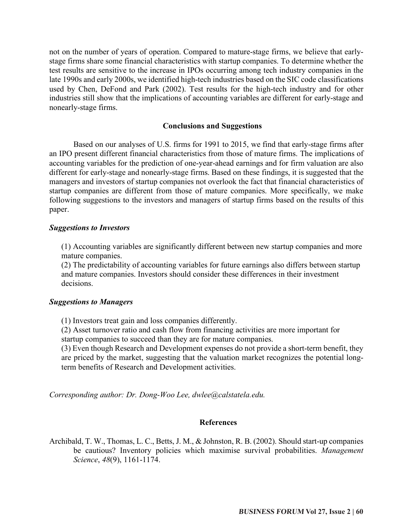not on the number of years of operation. Compared to mature-stage firms, we believe that earlystage firms share some financial characteristics with startup companies. To determine whether the test results are sensitive to the increase in IPOs occurring among tech industry companies in the late 1990s and early 2000s, we identified high-tech industries based on the SIC code classifications used by Chen, DeFond and Park (2002). Test results for the high-tech industry and for other industries still show that the implications of accounting variables are different for early-stage and nonearly-stage firms.

## **Conclusions and Suggestions**

Based on our analyses of U.S. firms for 1991 to 2015, we find that early-stage firms after an IPO present different financial characteristics from those of mature firms. The implications of accounting variables for the prediction of one-year-ahead earnings and for firm valuation are also different for early-stage and nonearly-stage firms. Based on these findings, it is suggested that the managers and investors of startup companies not overlook the fact that financial characteristics of startup companies are different from those of mature companies. More specifically, we make following suggestions to the investors and managers of startup firms based on the results of this paper.

## *Suggestions to Investors*

(1) Accounting variables are significantly different between new startup companies and more mature companies.

(2) The predictability of accounting variables for future earnings also differs between startup and mature companies. Investors should consider these differences in their investment decisions.

# *Suggestions to Managers*

(1) Investors treat gain and loss companies differently.

(2) Asset turnover ratio and cash flow from financing activities are more important for startup companies to succeed than they are for mature companies.

(3) Even though Research and Development expenses do not provide a short-term benefit, they are priced by the market, suggesting that the valuation market recognizes the potential longterm benefits of Research and Development activities.

*Corresponding author: Dr. Dong-Woo Lee, dwlee@calstatela.edu.*

#### **References**

Archibald, T. W., Thomas, L. C., Betts, J. M., & Johnston, R. B. (2002). Should start-up companies be cautious? Inventory policies which maximise survival probabilities. *Management Science*, *48*(9), 1161-1174.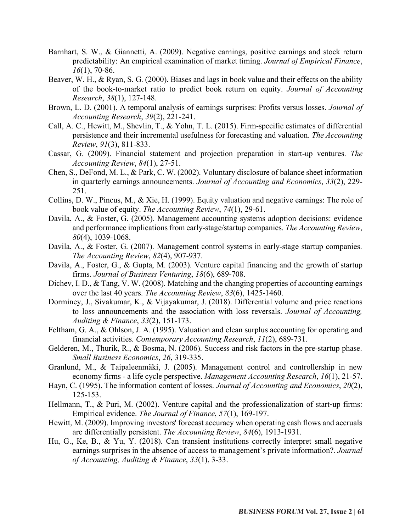- Barnhart, S. W., & Giannetti, A. (2009). Negative earnings, positive earnings and stock return predictability: An empirical examination of market timing. *Journal of Empirical Finance*, *16*(1), 70-86.
- Beaver, W. H., & Ryan, S. G. (2000). Biases and lags in book value and their effects on the ability of the book-to-market ratio to predict book return on equity. *Journal of Accounting Research*, *38*(1), 127-148.
- Brown, L. D. (2001). A temporal analysis of earnings surprises: Profits versus losses. *Journal of Accounting Research*, *39*(2), 221-241.
- Call, A. C., Hewitt, M., Shevlin, T., & Yohn, T. L. (2015). Firm-specific estimates of differential persistence and their incremental usefulness for forecasting and valuation. *The Accounting Review*, *91*(3), 811-833.
- Cassar, G. (2009). Financial statement and projection preparation in start-up ventures. *The Accounting Review*, *84*(1), 27-51.
- Chen, S., DeFond, M. L., & Park, C. W. (2002). Voluntary disclosure of balance sheet information in quarterly earnings announcements. *Journal of Accounting and Economics*, *33*(2), 229- 251.
- Collins, D. W., Pincus, M., & Xie, H. (1999). Equity valuation and negative earnings: The role of book value of equity. *The Accounting Review*, *74*(1), 29-61.
- Davila, A., & Foster, G. (2005). Management accounting systems adoption decisions: evidence and performance implications from early-stage/startup companies. *The Accounting Review*, *80*(4), 1039-1068.
- Davila, A., & Foster, G. (2007). Management control systems in early-stage startup companies. *The Accounting Review*, *82*(4), 907-937.
- Davila, A., Foster, G., & Gupta, M. (2003). Venture capital financing and the growth of startup firms. *Journal of Business Venturing*, *18*(6), 689-708.
- Dichev, I. D., & Tang, V. W. (2008). Matching and the changing properties of accounting earnings over the last 40 years. *The Accounting Review*, *83*(6), 1425-1460.
- Dorminey, J., Sivakumar, K., & Vijayakumar, J. (2018). Differential volume and price reactions to loss announcements and the association with loss reversals. *Journal of Accounting, Auditing & Finance*, *33*(2), 151-173.
- Feltham, G. A., & Ohlson, J. A. (1995). Valuation and clean surplus accounting for operating and financial activities. *Contemporary Accounting Research*, *11*(2), 689-731.
- Gelderen, M., Thurik, R., & Bosma, N. (2006). Success and risk factors in the pre-startup phase. *Small Business Economics*, *26*, 319-335.
- Granlund, M., & Taipaleenmäki, J. (2005). Management control and controllership in new economy firms - a life cycle perspective. *Management Accounting Research*, *16*(1), 21-57.
- Hayn, C. (1995). The information content of losses. *Journal of Accounting and Economics*, *20*(2), 125-153.
- Hellmann, T., & Puri, M. (2002). Venture capital and the professionalization of start-up firms: Empirical evidence. *The Journal of Finance*, *57*(1), 169-197.
- Hewitt, M. (2009). Improving investors' forecast accuracy when operating cash flows and accruals are differentially persistent. *The Accounting Review*, *84*(6), 1913-1931.
- Hu, G., Ke, B., & Yu, Y. (2018). Can transient institutions correctly interpret small negative earnings surprises in the absence of access to management's private information?. *Journal of Accounting, Auditing & Finance*, *33*(1), 3-33.